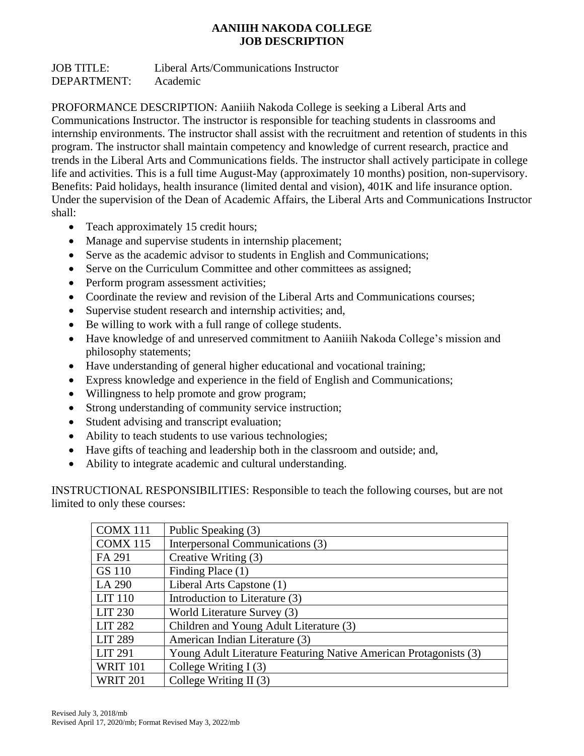## **AANIIIH NAKODA COLLEGE JOB DESCRIPTION**

JOB TITLE: Liberal Arts/Communications Instructor DEPARTMENT: Academic

PROFORMANCE DESCRIPTION: Aaniiih Nakoda College is seeking a Liberal Arts and Communications Instructor. The instructor is responsible for teaching students in classrooms and internship environments. The instructor shall assist with the recruitment and retention of students in this program. The instructor shall maintain competency and knowledge of current research, practice and trends in the Liberal Arts and Communications fields. The instructor shall actively participate in college life and activities. This is a full time August-May (approximately 10 months) position, non-supervisory. Benefits: Paid holidays, health insurance (limited dental and vision), 401K and life insurance option. Under the supervision of the Dean of Academic Affairs, the Liberal Arts and Communications Instructor shall:

- Teach approximately 15 credit hours;
- Manage and supervise students in internship placement;
- Serve as the academic advisor to students in English and Communications;
- Serve on the Curriculum Committee and other committees as assigned;
- Perform program assessment activities;
- Coordinate the review and revision of the Liberal Arts and Communications courses;
- Supervise student research and internship activities; and,
- Be willing to work with a full range of college students.
- Have knowledge of and unreserved commitment to Aaniiih Nakoda College's mission and philosophy statements;
- Have understanding of general higher educational and vocational training;
- Express knowledge and experience in the field of English and Communications;
- Willingness to help promote and grow program;
- Strong understanding of community service instruction;
- Student advising and transcript evaluation;
- Ability to teach students to use various technologies;
- Have gifts of teaching and leadership both in the classroom and outside; and,
- Ability to integrate academic and cultural understanding.

INSTRUCTIONAL RESPONSIBILITIES: Responsible to teach the following courses, but are not limited to only these courses:

| COMX 111        | Public Speaking (3)                                               |
|-----------------|-------------------------------------------------------------------|
| <b>COMX 115</b> | Interpersonal Communications (3)                                  |
| FA 291          | Creative Writing (3)                                              |
| GS 110          | Finding Place (1)                                                 |
| LA 290          | Liberal Arts Capstone (1)                                         |
| <b>LIT 110</b>  | Introduction to Literature (3)                                    |
| <b>LIT 230</b>  | World Literature Survey (3)                                       |
| <b>LIT 282</b>  | Children and Young Adult Literature (3)                           |
| <b>LIT 289</b>  | American Indian Literature (3)                                    |
| <b>LIT 291</b>  | Young Adult Literature Featuring Native American Protagonists (3) |
| <b>WRIT 101</b> | College Writing $I(3)$                                            |
| <b>WRIT 201</b> | College Writing II $(3)$                                          |